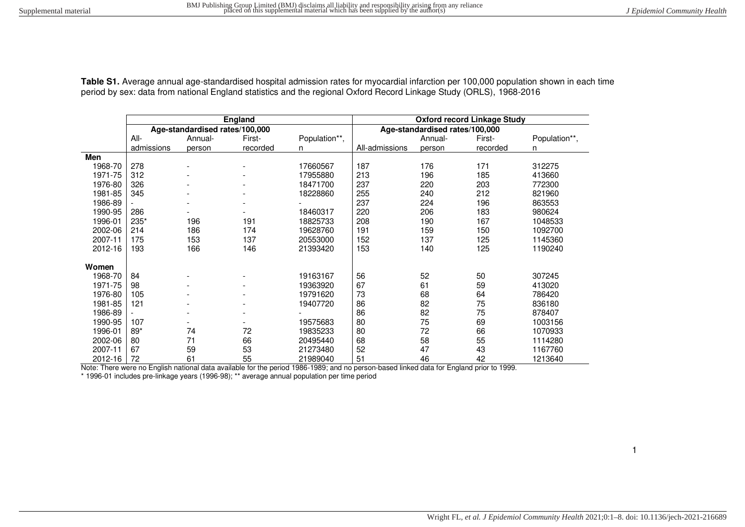| Table S1. Average annual age-standardised hospital admission rates for myocardial infarction per 100,000 population shown in each time |  |
|----------------------------------------------------------------------------------------------------------------------------------------|--|
| period by sex: data from national England statistics and the regional Oxford Record Linkage Study (ORLS), 1968-2016                    |  |

|         |            |                                | <b>England</b> |               | <b>Oxford record Linkage Study</b> |         |          |               |  |  |  |
|---------|------------|--------------------------------|----------------|---------------|------------------------------------|---------|----------|---------------|--|--|--|
|         |            | Age-standardised rates/100,000 |                |               | Age-standardised rates/100,000     |         |          |               |  |  |  |
|         | $All-$     | Annual-                        | First-         | Population**, |                                    | Annual- | First-   | Population**, |  |  |  |
|         | admissions | person                         | recorded       | n             | All-admissions                     | person  | recorded | n             |  |  |  |
| Men     |            |                                |                |               |                                    |         |          |               |  |  |  |
| 1968-70 | 278        |                                |                | 17660567      | 187                                | 176     | 171      | 312275        |  |  |  |
| 1971-75 | 312        |                                |                | 17955880      | 213                                | 196     | 185      | 413660        |  |  |  |
| 1976-80 | 326        |                                |                | 18471700      | 237                                | 220     | 203      | 772300        |  |  |  |
| 1981-85 | 345        |                                |                | 18228860      | 255                                | 240     | 212      | 821960        |  |  |  |
| 1986-89 |            |                                |                |               | 237                                | 224     | 196      | 863553        |  |  |  |
| 1990-95 | 286        |                                |                | 18460317      | 220                                | 206     | 183      | 980624        |  |  |  |
| 1996-01 | 235*       | 196                            | 191            | 18825733      | 208                                | 190     | 167      | 1048533       |  |  |  |
| 2002-06 | 214        | 186                            | 174            | 19628760      | 191                                | 159     | 150      | 1092700       |  |  |  |
| 2007-11 | 175        | 153                            | 137            | 20553000      | 152                                | 137     | 125      | 1145360       |  |  |  |
| 2012-16 | 193        | 166                            | 146            | 21393420      | 153                                | 140     | 125      | 1190240       |  |  |  |
| Women   |            |                                |                |               |                                    |         |          |               |  |  |  |
| 1968-70 | 84         |                                |                | 19163167      | 56                                 | 52      | 50       | 307245        |  |  |  |
| 1971-75 | 98         |                                |                | 19363920      | 67                                 | 61      | 59       | 413020        |  |  |  |
| 1976-80 | 105        |                                |                | 19791620      | 73                                 | 68      | 64       | 786420        |  |  |  |
| 1981-85 | 121        |                                |                | 19407720      | 86                                 | 82      | 75       | 836180        |  |  |  |
| 1986-89 |            |                                |                |               | 86                                 | 82      | 75       | 878407        |  |  |  |
| 1990-95 | 107        |                                |                | 19575683      | 80                                 | 75      | 69       | 1003156       |  |  |  |
| 1996-01 | 89*        | 74                             | 72             | 19835233      | 80                                 | 72      | 66       | 1070933       |  |  |  |
| 2002-06 | 80         | 71                             | 66             | 20495440      | 68                                 | 58      | 55       | 1114280       |  |  |  |
| 2007-11 | 67         | 59                             | 53             | 21273480      | 52                                 | 47      | 43       | 1167760       |  |  |  |
| 2012-16 | 72         | 61                             | 55             | 21989040      | 51                                 | 46      | 42       | 1213640       |  |  |  |

Note: There were no English national data available for the period 1986-1989; and no person-based linked data for England prior to 1999.

\* 1996-01 includes pre-linkage years (1996-98); \*\* average annual population per time period

1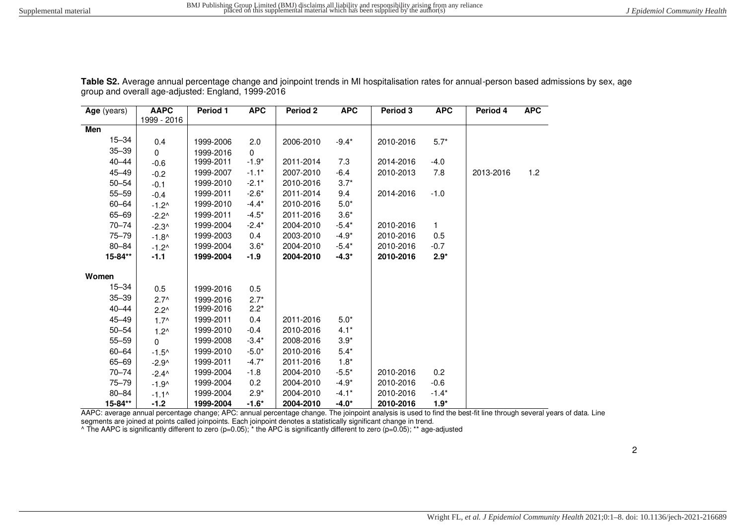| Age (years) | <b>AAPC</b>     | <b>Period 1</b> | <b>APC</b> | <b>Period 2</b> | <b>APC</b> | Period 3  | <b>APC</b> | Period 4  | APC. |
|-------------|-----------------|-----------------|------------|-----------------|------------|-----------|------------|-----------|------|
|             | 1999 - 2016     |                 |            |                 |            |           |            |           |      |
| Men         |                 |                 |            |                 |            |           |            |           |      |
| $15 - 34$   | 0.4             | 1999-2006       | 2.0        | 2006-2010       | $-9.4*$    | 2010-2016 | $5.7*$     |           |      |
| $35 - 39$   | $\Omega$        | 1999-2016       | $\Omega$   |                 |            |           |            |           |      |
| $40 - 44$   | $-0.6$          | 1999-2011       | $-1.9*$    | 2011-2014       | 7.3        | 2014-2016 | $-4.0$     |           |      |
| $45 - 49$   | $-0.2$          | 1999-2007       | $-1.1*$    | 2007-2010       | $-6.4$     | 2010-2013 | 7.8        | 2013-2016 | 1.2  |
| $50 - 54$   | $-0.1$          | 1999-2010       | $-2.1*$    | 2010-2016       | $3.7*$     |           |            |           |      |
| $55 - 59$   | $-0.4$          | 1999-2011       | $-2.6*$    | 2011-2014       | 9.4        | 2014-2016 | $-1.0$     |           |      |
| 60-64       | $-1.2^$         | 1999-2010       | $-4.4*$    | 2010-2016       | $5.0*$     |           |            |           |      |
| 65-69       | $-2.2^{\wedge}$ | 1999-2011       | $-4.5*$    | 2011-2016       | $3.6*$     |           |            |           |      |
| $70 - 74$   | $-2.3^{\circ}$  | 1999-2004       | $-2.4*$    | 2004-2010       | $-5.4*$    | 2010-2016 | 1          |           |      |
| $75 - 79$   | $-1.8^$         | 1999-2003       | 0.4        | 2003-2010       | $-4.9*$    | 2010-2016 | 0.5        |           |      |
| $80 - 84$   | $-1.2^$         | 1999-2004       | $3.6*$     | 2004-2010       | $-5.4*$    | 2010-2016 | $-0.7$     |           |      |
| 15-84**     | $-1.1$          | 1999-2004       | $-1.9$     | 2004-2010       | $-4.3*$    | 2010-2016 | $2.9*$     |           |      |
|             |                 |                 |            |                 |            |           |            |           |      |
| Women       |                 |                 |            |                 |            |           |            |           |      |
| $15 - 34$   | 0.5             | 1999-2016       | 0.5        |                 |            |           |            |           |      |
| $35 - 39$   | $2.7^{\circ}$   | 1999-2016       | $2.7*$     |                 |            |           |            |           |      |
| $40 - 44$   | $2.2^{\wedge}$  | 1999-2016       | $2.2*$     |                 |            |           |            |           |      |
| 45-49       | $1.7^{\circ}$   | 1999-2011       | 0.4        | 2011-2016       | $5.0*$     |           |            |           |      |
| $50 - 54$   | $1.2^{\wedge}$  | 1999-2010       | $-0.4$     | 2010-2016       | $4.1*$     |           |            |           |      |
| $55 - 59$   | $\Omega$        | 1999-2008       | $-3.4*$    | 2008-2016       | $3.9*$     |           |            |           |      |
| $60 - 64$   | $-1.5^$         | 1999-2010       | $-5.0*$    | 2010-2016       | $5.4*$     |           |            |           |      |
| 65-69       | $-2.9^$         | 1999-2011       | $-4.7*$    | 2011-2016       | $1.8*$     |           |            |           |      |
| $70 - 74$   | $-2.4^{\circ}$  | 1999-2004       | $-1.8$     | 2004-2010       | $-5.5*$    | 2010-2016 | 0.2        |           |      |
| $75 - 79$   | $-1.9^$         | 1999-2004       | 0.2        | 2004-2010       | $-4.9*$    | 2010-2016 | $-0.6$     |           |      |
| $80 - 84$   | $-1.1^{\circ}$  | 1999-2004       | $2.9*$     | 2004-2010       | $-4.1*$    | 2010-2016 | $-1.4*$    |           |      |
| 15-84**     | $-1.2$          | 1999-2004       | $-1.6*$    | 2004-2010       | $-4.0*$    | 2010-2016 | $1.9*$     |           |      |

Table S2. Average annual percentage change and joinpoint trends in MI hospitalisation rates for annual-person based admissions by sex, age group and overall age-adjusted: England, 1999-2016

AAPC: average annual percentage change; APC: annual percentage change. The joinpoint analysis is used to find the best-fit line through several years of data. Line

segments are joined at points called joinpoints. Each joinpoint denotes a statistically significant change in trend.<br>^ The AAPC is significantly different to zero (p=0.05); \* the APC is significantly different to zero (p=0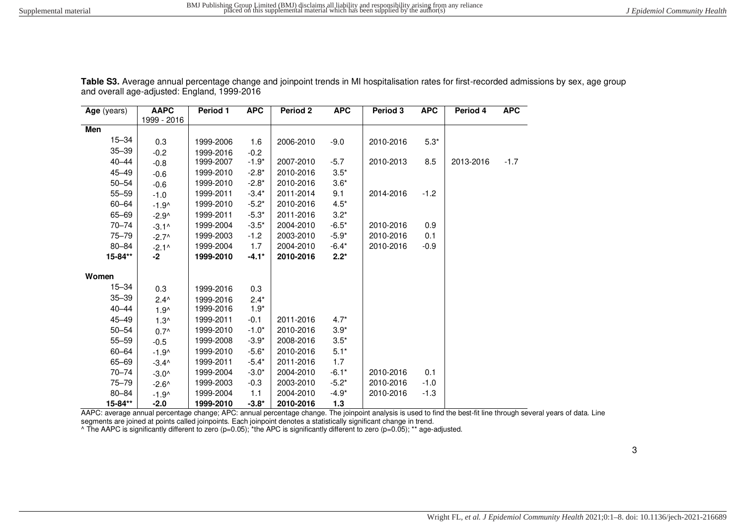| Age (years) | <b>AAPC</b><br>1999 - 2016 | Period 1  | <b>APC</b> | Period <sub>2</sub> | <b>APC</b> | Period 3  | <b>APC</b> | Period 4  | <b>APC</b> |
|-------------|----------------------------|-----------|------------|---------------------|------------|-----------|------------|-----------|------------|
| Men         |                            |           |            |                     |            |           |            |           |            |
| $15 - 34$   | 0.3                        | 1999-2006 | 1.6        | 2006-2010           | $-9.0$     | 2010-2016 | $5.3*$     |           |            |
| $35 - 39$   | $-0.2$                     | 1999-2016 | $-0.2$     |                     |            |           |            |           |            |
| $40 - 44$   | $-0.8$                     | 1999-2007 | $-1.9*$    | 2007-2010           | $-5.7$     | 2010-2013 | 8.5        | 2013-2016 | $-1.7$     |
| $45 - 49$   | $-0.6$                     | 1999-2010 | $-2.8*$    | 2010-2016           | $3.5*$     |           |            |           |            |
| $50 - 54$   | $-0.6$                     | 1999-2010 | $-2.8*$    | 2010-2016           | $3.6*$     |           |            |           |            |
| $55 - 59$   | $-1.0$                     | 1999-2011 | $-3.4*$    | 2011-2014           | 9.1        | 2014-2016 | $-1.2$     |           |            |
| 60-64       | $-1.9^$                    | 1999-2010 | $-5.2*$    | 2010-2016           | $4.5*$     |           |            |           |            |
| 65-69       | $-2.9^$                    | 1999-2011 | $-5.3*$    | 2011-2016           | $3.2*$     |           |            |           |            |
| $70 - 74$   | $-3.1^$                    | 1999-2004 | $-3.5*$    | 2004-2010           | $-6.5*$    | 2010-2016 | 0.9        |           |            |
| $75 - 79$   | $-2.7^$                    | 1999-2003 | $-1.2$     | 2003-2010           | $-5.9*$    | 2010-2016 | 0.1        |           |            |
| 80-84       | $-2.1^$                    | 1999-2004 | 1.7        | 2004-2010           | $-6.4*$    | 2010-2016 | $-0.9$     |           |            |
| 15-84**     | $-2$                       | 1999-2010 | $-4.1*$    | 2010-2016           | $2.2*$     |           |            |           |            |
| Women       |                            |           |            |                     |            |           |            |           |            |
| $15 - 34$   | 0.3                        | 1999-2016 | 0.3        |                     |            |           |            |           |            |
| $35 - 39$   | $2.4^{\wedge}$             | 1999-2016 | $2.4*$     |                     |            |           |            |           |            |
| $40 - 44$   | $1.9^{\wedge}$             | 1999-2016 | $1.9*$     |                     |            |           |            |           |            |
| $45 - 49$   | $1.3^$                     | 1999-2011 | $-0.1$     | 2011-2016           | $4.7*$     |           |            |           |            |
| $50 - 54$   | $0.7^{\wedge}$             | 1999-2010 | $-1.0*$    | 2010-2016           | $3.9*$     |           |            |           |            |
| $55 - 59$   | $-0.5$                     | 1999-2008 | $-3.9*$    | 2008-2016           | $3.5*$     |           |            |           |            |
| 60-64       | $-1.9^$                    | 1999-2010 | $-5.6*$    | 2010-2016           | $5.1*$     |           |            |           |            |
| 65-69       | $-3.4^$                    | 1999-2011 | $-5.4*$    | 2011-2016           | 1.7        |           |            |           |            |
| $70 - 74$   | $-3.0^$                    | 1999-2004 | $-3.0*$    | 2004-2010           | $-6.1*$    | 2010-2016 | 0.1        |           |            |
| $75 - 79$   | $-2.6^$                    | 1999-2003 | $-0.3$     | 2003-2010           | $-5.2*$    | 2010-2016 | $-1.0$     |           |            |
| 80-84       | $-1.9^$                    | 1999-2004 | 1.1        | 2004-2010           | $-4.9*$    | 2010-2016 | $-1.3$     |           |            |
| 15-84**     | -2.0                       | 1999-2010 | $-3.8*$    | 2010-2016           | 1.3        |           |            |           |            |

Table S3. Average annual percentage change and joinpoint trends in MI hospitalisation rates for first-recorded admissions by sex, age group and overall age-adjusted: England, 1999-2016

AAPC: average annual percentage change; APC: annual percentage change. The joinpoint analysis is used to find the best-fit line through several years of data. Line

segments are joined at points called joinpoints. Each joinpoint denotes a statistically significant change in trend.<br>^ The AAPC is significantly different to zero (p=0.05); \*the APC is significantly different to zero (p=0.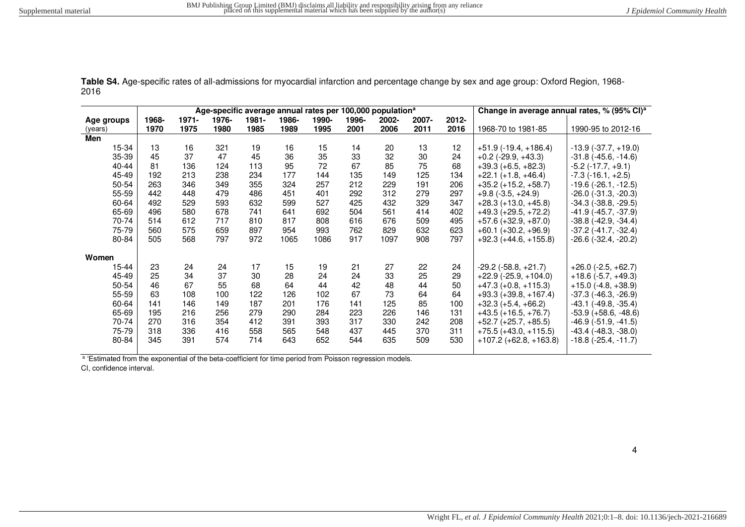**Table S4.** Age-specific rates of all-admissions for myocardial infarction and percentage change by sex and age group: Oxford Region, 1968- 2016 **Age-specific average annual rates per 100,000 population<sup>a</sup> Change in average annual rates, % (95% CI)<sup>a</sup>**

|       |          |       |       |       |       |       | Change in average annual rates, % (95% CI)" |          |                                                           |                            |                               |
|-------|----------|-------|-------|-------|-------|-------|---------------------------------------------|----------|-----------------------------------------------------------|----------------------------|-------------------------------|
| 1968- | $1971 -$ | 1976- | 1981- | 1986- | 1990- | 1996- | 2002-                                       | $2007 -$ | 2012-                                                     |                            |                               |
| 1970  | 1975     | 1980  | 1985  | 1989  | 1995  | 2001  | 2006                                        | 2011     | 2016                                                      | 1968-70 to 1981-85         | 1990-95 to 2012-16            |
|       |          |       |       |       |       |       |                                             |          |                                                           |                            |                               |
| 13    | 16       | 321   | 19    | 16    | 15    | 14    | 20                                          | 13       | 12                                                        | $+51.9$ (-19.4, +186.4)    | $-13.9$ $(-37.7, +19.0)$      |
| 45    | 37       | 47    | 45    | 36    | 35    | 33    | 32                                          | 30       | 24                                                        | $+0.2$ (-29.9, +43.3)      | $-31.8$ ( $-45.6$ , $-14.6$ ) |
| 81    | 136      | 124   | 113   | 95    | 72    | 67    | 85                                          | 75       | 68                                                        | $+39.3 (+6.5, +82.3)$      | $-5.2$ ( $-17.7$ , $+9.1$ )   |
| 192   | 213      | 238   | 234   | 177   | 144   | 135   | 149                                         | 125      | 134                                                       | $+22.1 (+1.8, +46.4)$      | $-7.3$ ( $-16.1, +2.5$ )      |
| 263   | 346      | 349   | 355   | 324   | 257   | 212   | 229                                         | 191      | 206                                                       | $+35.2$ (+15.2, +58.7)     | $-19.6$ ( $-26.1$ , $-12.5$ ) |
| 442   | 448      | 479   | 486   | 451   | 401   | 292   | 312                                         | 279      | 297                                                       | $+9.8$ (-3.5, +24.9)       | $-26.0$ ( $-31.3$ , $-20.3$ ) |
| 492   | 529      | 593   | 632   | 599   | 527   | 425   | 432                                         | 329      | 347                                                       | $+28.3 (+13.0, +45.8)$     | $-34.3$ $(-38.8, -29.5)$      |
| 496   | 580      | 678   | 741   | 641   | 692   | 504   | 561                                         | 414      | 402                                                       | $+49.3 (+29.5, +72.2)$     | $-41.9$ ( $-45.7$ , $-37.9$ ) |
| 514   | 612      | 717   | 810   | 817   | 808   | 616   | 676                                         | 509      | 495                                                       | $+57.6 (+32.9, +87.0)$     | $-38.8$ $(-42.9, -34.4)$      |
| 560   | 575      | 659   | 897   | 954   | 993   | 762   | 829                                         | 632      | 623                                                       | $+60.1 (+30.2, +96.9)$     | $-37.2$ ( $-41.7, -32.4$ )    |
| 505   | 568      | 797   | 972   | 1065  | 1086  | 917   | 1097                                        | 908      | 797                                                       | $+92.3 (+44.6, +155.8)$    | $-26.6$ ( $-32.4$ , $-20.2$ ) |
|       |          |       |       |       |       |       |                                             |          |                                                           |                            |                               |
|       |          |       |       |       |       |       |                                             |          |                                                           |                            |                               |
| 23    | 24       | 24    | 17    | 15    | 19    | 21    | 27                                          | 22       | 24                                                        | $-29.2$ ( $-58.8, +21.7$ ) | $+26.0$ (-2.5, +62.7)         |
| 25    | 34       | 37    | 30    | 28    | 24    | 24    | 33                                          | 25       | 29                                                        | $+22.9$ (-25.9, +104.0)    | $+18.6$ (-5.7, +49.3)         |
| 46    | 67       | 55    | 68    | 64    | 44    | 42    | 48                                          | 44       | 50                                                        | $+47.3 (+0.8, +115.3)$     | $+15.0$ (-4.8, +38.9)         |
| 63    | 108      | 100   | 122   | 126   | 102   | 67    | 73                                          | 64       | 64                                                        | $+93.3 (+39.8, +167.4)$    | $-37.3$ $(-46.3, -26.9)$      |
| 141   | 146      | 149   | 187   | 201   | 176   | 141   | 125                                         | 85       | 100                                                       | $+32.3 (+5.4, +66.2)$      | $-43.1$ ( $-49.8$ , $-35.4$ ) |
| 195   | 216      | 256   | 279   | 290   | 284   | 223   | 226                                         | 146      | 131                                                       | $+43.5 (+16.5, +76.7)$     | $-53.9 (+58.6, -48.6)$        |
| 270   | 316      | 354   | 412   | 391   | 393   | 317   | 330                                         | 242      | 208                                                       | $+52.7 (+25.7, +85.5)$     | $-46.9$ $(-51.9, -41.5)$      |
| 318   | 336      | 416   | 558   | 565   | 548   | 437   | 445                                         | 370      | 311                                                       | $+75.5 (+43.0, +115.5)$    | $-43.4$ $(-48.3, -38.0)$      |
| 345   | 391      | 574   | 714   | 643   | 652   | 544   | 635                                         | 509      | 530                                                       | $+107.2 (+62.8, +163.8)$   | $-18.8$ ( $-25.4$ , $-11.7$ ) |
|       |          |       |       |       |       |       |                                             |          | Age-specific average annual rates per 100,000 population- |                            |                               |

<sup>a</sup> 'Estimated from the exponential of the beta-coefficient for time period from Poisson regression models.

CI, confidence interval.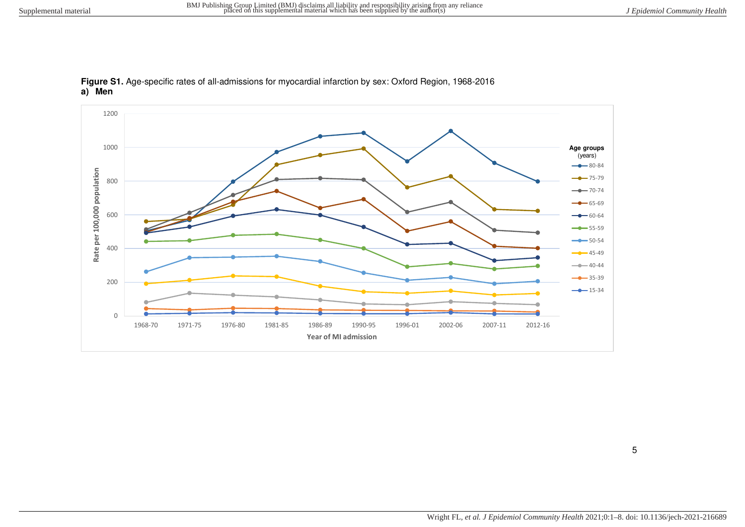

**Figure S1.** Age-specific rates of all-admissions for myocardial infarction by sex: Oxford Region, 1968-2016 **a) Men**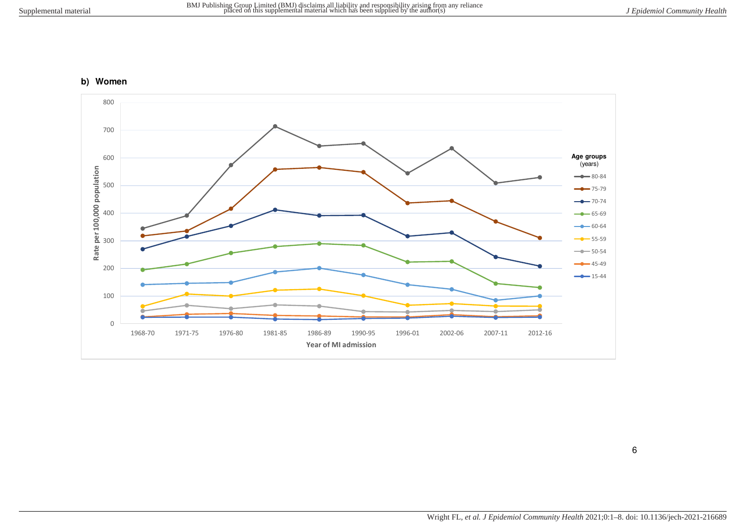## **b) Women**